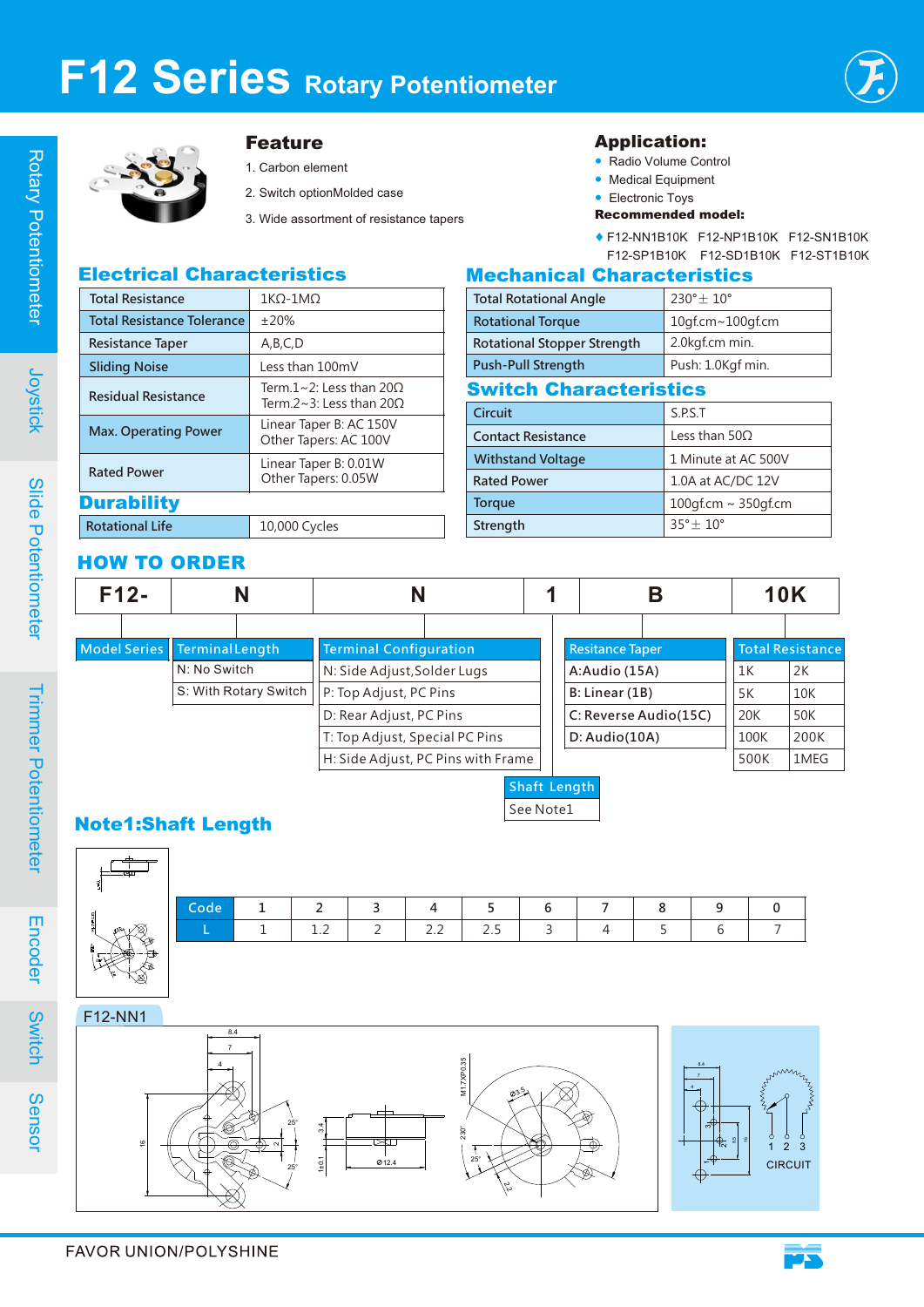

#### Feature 1. Carbon element

- 2. Switch optionMolded case
- 3. Wide assortment of resistance tapers

#### Application:

- Radio Volume Control
- Medical Equipment
- Electronic Toys
- Recommended model:
- ♦ F12-NN1B10K F12-NP1B10K F12-SN1B10K F12-SP1B10K F12-SD1B10K F12-ST1B10K

### Electrical Characteristics

| $1KQ-1MO$                                                  |  |  |  |
|------------------------------------------------------------|--|--|--|
| ±20%                                                       |  |  |  |
| A,B,C,D                                                    |  |  |  |
| Less than 100mV                                            |  |  |  |
| Term $1 \sim 2$ : Less than 200<br>Term 2~3: Less than 200 |  |  |  |
| Linear Taper B: AC 150V<br>Other Tapers: AC 100V           |  |  |  |
| Linear Taper B: 0.01W<br>Other Tapers: 0.05W               |  |  |  |
| <b>Durability</b>                                          |  |  |  |
| 10,000 Cycles                                              |  |  |  |
|                                                            |  |  |  |

# Mechanical Characteristics

| <b>Total Rotational Angle</b>      | $230^{\circ}$ ± $10^{\circ}$ |  |  |  |  |
|------------------------------------|------------------------------|--|--|--|--|
| <b>Rotational Torque</b>           | 10gf.cm~100gf.cm             |  |  |  |  |
| <b>Rotational Stopper Strength</b> | 2.0kgf.cm min.               |  |  |  |  |
| <b>Push-Pull Strength</b>          | Push: 1.0Kgf min.            |  |  |  |  |
| <b>Switch Characteristics</b>      |                              |  |  |  |  |
| Circuit                            | S.P.S.T                      |  |  |  |  |
| <b>Contact Resistance</b>          | Less than $50\Omega$         |  |  |  |  |

| Contact Resistance       | Less than $50\Omega$     |
|--------------------------|--------------------------|
| <b>Withstand Voltage</b> | 1 Minute at AC 500V      |
| <b>Rated Power</b>       | 1.0A at AC/DC 12V        |
| <b>Torque</b>            | 100gf.cm $\sim$ 350gf.cm |
| Strength                 | $35^\circ \pm 10^\circ$  |

## HOW TO ORDER

| $F12-$                         | N            |                       | N                                  |  |  |                        | В                     | <b>10K</b> |                         |
|--------------------------------|--------------|-----------------------|------------------------------------|--|--|------------------------|-----------------------|------------|-------------------------|
|                                |              |                       |                                    |  |  |                        |                       |            |                         |
| Model Series   Terminal Length |              |                       | <b>Terminal Configuration</b>      |  |  | <b>Resitance Taper</b> |                       |            | <b>Total Resistance</b> |
|                                | N: No Switch |                       | N: Side Adjust, Solder Lugs        |  |  | A:Audio (15A)          |                       | 1K         | 2K                      |
|                                |              | S: With Rotary Switch | P: Top Adjust, PC Pins             |  |  | B: Linear (1B)         |                       | 5K         | 10K                     |
|                                |              |                       | D: Rear Adjust, PC Pins            |  |  |                        | C: Reverse Audio(15C) | 20K        | <b>50K</b>              |
|                                |              |                       | T: Top Adjust, Special PC Pins     |  |  | D: Audio(10A)          |                       | 100K       | 200K                    |
|                                |              |                       | H: Side Adjust, PC Pins with Frame |  |  |                        |                       | 500K       | 1MEG                    |

| Shaft Length |  |
|--------------|--|
| See Note1    |  |
|              |  |

## Note1:Shaft Length